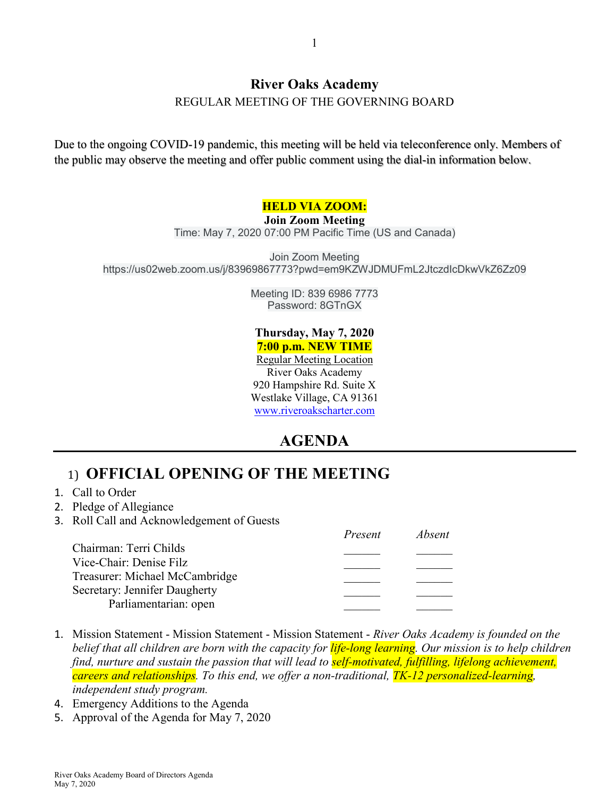#### **River Oaks Academy**

REGULAR MEETING OF THE GOVERNING BOARD

Due to the ongoing COVID-19 pandemic, this meeting will be held via teleconference only. Members of the public may observe the meeting and offer public comment using the dial-in information below.

#### **HELD VIA ZOOM:**

#### **Join Zoom Meeting**

Time: May 7, 2020 07:00 PM Pacific Time (US and Canada)

Join Zoom Meeting https://us02web.zoom.us/j/83969867773?pwd=em9KZWJDMUFmL2JtczdIcDkwVkZ6Zz09

> Meeting ID: 839 6986 7773 Password: 8GTnGX

#### **Thursday, May 7, 2020 7:00 p.m. NEW TIME**

Regular Meeting Location River Oaks Academy 920 Hampshire Rd. Suite X Westlake Village, CA 91361 [www.riveroakscharter.com](http://www.riveroakscharter.com/)

## **AGENDA**

## 1) **OFFICIAL OPENING OF THE MEETING**

- 1. Call to Order
- 2. Pledge of Allegiance
- 3. Roll Call and Acknowledgement of Guests

|                                | Present | Absent |
|--------------------------------|---------|--------|
| Chairman: Terri Childs         |         |        |
| Vice-Chair: Denise Filz        |         |        |
| Treasurer: Michael McCambridge |         |        |
| Secretary: Jennifer Daugherty  |         |        |
| Parliamentarian: open          |         |        |

- 1. Mission Statement Mission Statement Mission Statement *River Oaks Academy is founded on the belief that all children are born with the capacity for life-long learning. Our mission is to help children find, nurture and sustain the passion that will lead to self-motivated, fulfilling, lifelong achievement, careers and relationships. To this end, we offer a non-traditional, TK-12 personalized-learning, independent study program.*
- 4. Emergency Additions to the Agenda
- 5. Approval of the Agenda for May 7, 2020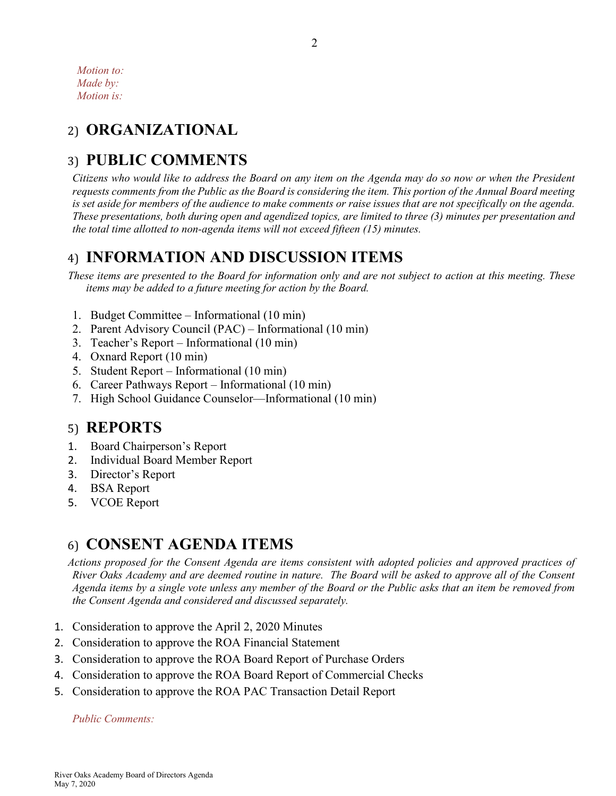*Motion to: Made by: Motion is:*

# 2) **ORGANIZATIONAL**

## 3) **PUBLIC COMMENTS**

*Citizens who would like to address the Board on any item on the Agenda may do so now or when the President requests comments from the Public as the Board is considering the item. This portion of the Annual Board meeting*  is set aside for members of the audience to make comments or raise issues that are not specifically on the agenda. *These presentations, both during open and agendized topics, are limited to three (3) minutes per presentation and the total time allotted to non-agenda items will not exceed fifteen (15) minutes.*

### 4) **INFORMATION AND DISCUSSION ITEMS**

*These items are presented to the Board for information only and are not subject to action at this meeting. These items may be added to a future meeting for action by the Board.*

- 1. Budget Committee Informational (10 min)
- 2. Parent Advisory Council (PAC) Informational (10 min)
- 3. Teacher's Report Informational (10 min)
- 4. Oxnard Report (10 min)
- 5. Student Report Informational (10 min)
- 6. Career Pathways Report Informational (10 min)
- 7. High School Guidance Counselor—Informational (10 min)

#### 5) **REPORTS**

- 1. Board Chairperson's Report
- 2. Individual Board Member Report
- 3. Director's Report
- 4. BSA Report
- 5. VCOE Report

## 6) **CONSENT AGENDA ITEMS**

*Actions proposed for the Consent Agenda are items consistent with adopted policies and approved practices of River Oaks Academy and are deemed routine in nature. The Board will be asked to approve all of the Consent Agenda items by a single vote unless any member of the Board or the Public asks that an item be removed from the Consent Agenda and considered and discussed separately.*

- 1. Consideration to approve the April 2, 2020 Minutes
- 2. Consideration to approve the ROA Financial Statement
- 3. Consideration to approve the ROA Board Report of Purchase Orders
- 4. Consideration to approve the ROA Board Report of Commercial Checks
- 5. Consideration to approve the ROA PAC Transaction Detail Report

*Public Comments:*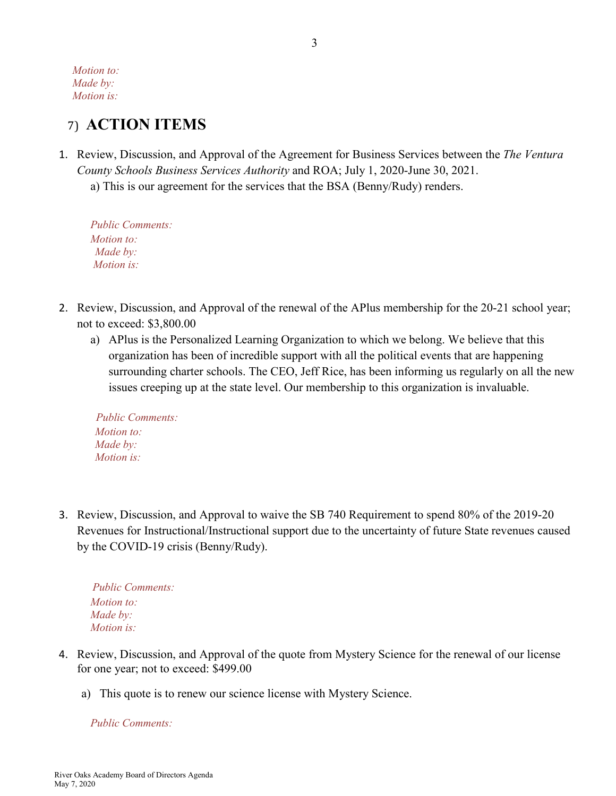*Motion to: Made by: Motion is:*

#### 7) **ACTION ITEMS**

- 1. Review, Discussion, and Approval of the Agreement for Business Services between the *The Ventura County Schools Business Services Authority* and ROA; July 1, 2020-June 30, 2021.
	- a) This is our agreement for the services that the BSA (Benny/Rudy) renders.

*Public Comments: Motion to: Made by: Motion is:*

- 2. Review, Discussion, and Approval of the renewal of the APlus membership for the 20-21 school year; not to exceed: \$3,800.00
	- a) APlus is the Personalized Learning Organization to which we belong. We believe that this organization has been of incredible support with all the political events that are happening surrounding charter schools. The CEO, Jeff Rice, has been informing us regularly on all the new issues creeping up at the state level. Our membership to this organization is invaluable.

 *Public Comments: Motion to: Made by: Motion is:*

3. Review, Discussion, and Approval to waive the SB 740 Requirement to spend 80% of the 2019-20 Revenues for Instructional/Instructional support due to the uncertainty of future State revenues caused by the COVID-19 crisis (Benny/Rudy).

 *Public Comments: Motion to: Made by: Motion is:*

- 4. Review, Discussion, and Approval of the quote from Mystery Science for the renewal of our license for one year; not to exceed: \$499.00
	- a) This quote is to renew our science license with Mystery Science.

*Public Comments:*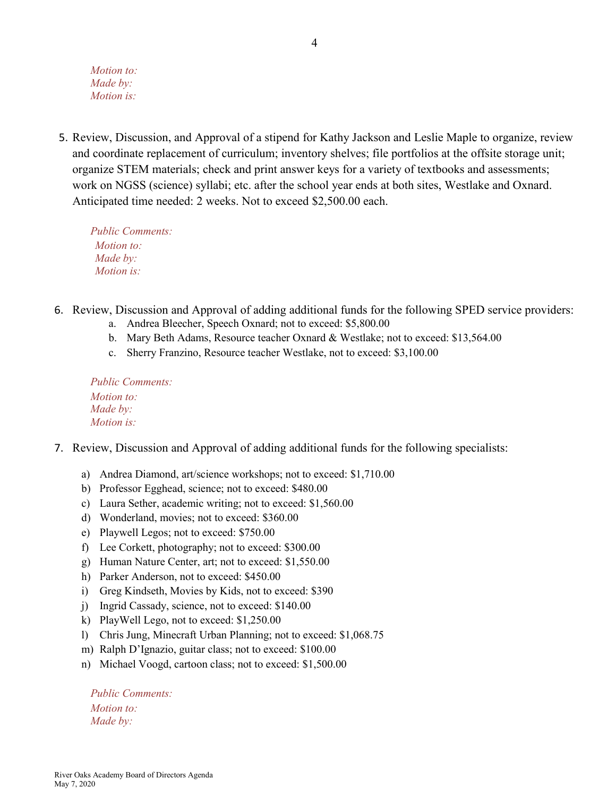*Motion to: Made by: Motion is:*

5. Review, Discussion, and Approval of a stipend for Kathy Jackson and Leslie Maple to organize, review and coordinate replacement of curriculum; inventory shelves; file portfolios at the offsite storage unit; organize STEM materials; check and print answer keys for a variety of textbooks and assessments; work on NGSS (science) syllabi; etc. after the school year ends at both sites, Westlake and Oxnard. Anticipated time needed: 2 weeks. Not to exceed \$2,500.00 each.

*Public Comments: Motion to: Made by: Motion is:*

- 6. Review, Discussion and Approval of adding additional funds for the following SPED service providers:
	- a. Andrea Bleecher, Speech Oxnard; not to exceed: \$5,800.00
	- b. Mary Beth Adams, Resource teacher Oxnard & Westlake; not to exceed: \$13,564.00
	- c. Sherry Franzino, Resource teacher Westlake, not to exceed: \$3,100.00

*Public Comments: Motion to: Made by: Motion is:*

- 7. Review, Discussion and Approval of adding additional funds for the following specialists:
	- a) Andrea Diamond, art/science workshops; not to exceed: \$1,710.00
	- b) Professor Egghead, science; not to exceed: \$480.00
	- c) Laura Sether, academic writing; not to exceed: \$1,560.00
	- d) Wonderland, movies; not to exceed: \$360.00
	- e) Playwell Legos; not to exceed: \$750.00
	- f) Lee Corkett, photography; not to exceed: \$300.00
	- g) Human Nature Center, art; not to exceed: \$1,550.00
	- h) Parker Anderson, not to exceed: \$450.00
	- i) Greg Kindseth, Movies by Kids, not to exceed: \$390
	- j) Ingrid Cassady, science, not to exceed: \$140.00
	- k) PlayWell Lego, not to exceed: \$1,250.00
	- l) Chris Jung, Minecraft Urban Planning; not to exceed: \$1,068.75
	- m) Ralph D'Ignazio, guitar class; not to exceed: \$100.00
	- n) Michael Voogd, cartoon class; not to exceed: \$1,500.00

*Public Comments: Motion to: Made by:*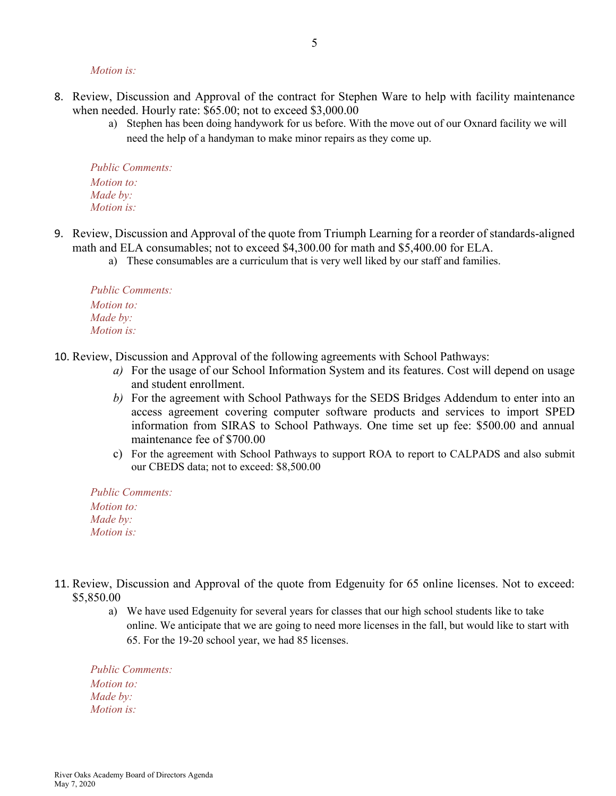*Motion is:*

- 8. Review, Discussion and Approval of the contract for Stephen Ware to help with facility maintenance when needed. Hourly rate: \$65.00; not to exceed \$3,000.00
	- a) Stephen has been doing handywork for us before. With the move out of our Oxnard facility we will need the help of a handyman to make minor repairs as they come up.

*Public Comments: Motion to: Made by: Motion is:*

- 9. Review, Discussion and Approval of the quote from Triumph Learning for a reorder of standards-aligned math and ELA consumables; not to exceed \$4,300.00 for math and \$5,400.00 for ELA.
	- a) These consumables are a curriculum that is very well liked by our staff and families.

*Public Comments: Motion to: Made by: Motion is:*

- 10. Review, Discussion and Approval of the following agreements with School Pathways:
	- *a)* For the usage of our School Information System and its features. Cost will depend on usage and student enrollment.
	- *b)* For the agreement with School Pathways for the SEDS Bridges Addendum to enter into an access agreement covering computer software products and services to import SPED information from SIRAS to School Pathways. One time set up fee: \$500.00 and annual maintenance fee of \$700.00
	- c) For the agreement with School Pathways to support ROA to report to CALPADS and also submit our CBEDS data; not to exceed: \$8,500.00

*Public Comments: Motion to: Made by: Motion is:*

- 11. Review, Discussion and Approval of the quote from Edgenuity for 65 online licenses. Not to exceed: \$5,850.00
	- a) We have used Edgenuity for several years for classes that our high school students like to take online. We anticipate that we are going to need more licenses in the fall, but would like to start with 65. For the 19-20 school year, we had 85 licenses.

*Public Comments: Motion to: Made by: Motion is:*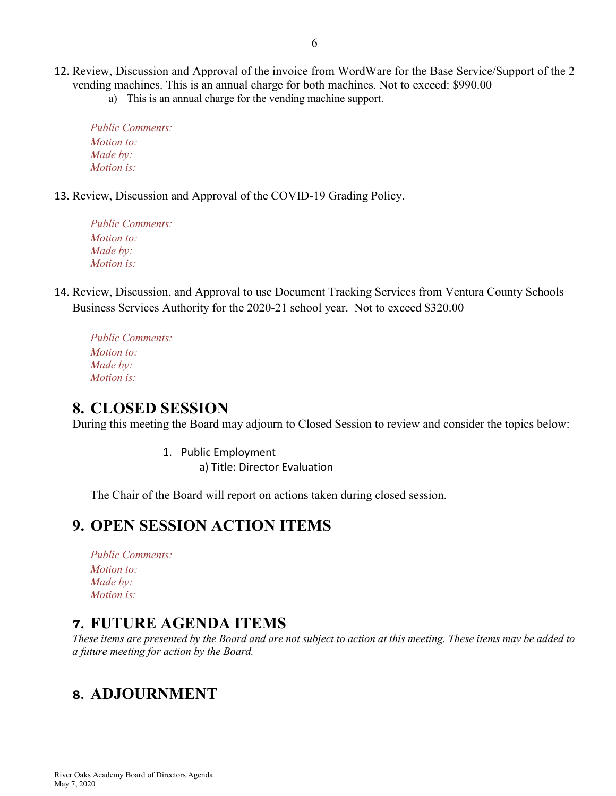- 12. Review, Discussion and Approval of the invoice from WordWare for the Base Service/Support of the 2 vending machines. This is an annual charge for both machines. Not to exceed: \$990.00
	- a) This is an annual charge for the vending machine support.

*Public Comments: Motion to: Made by: Motion is:*

13. Review, Discussion and Approval of the COVID-19 Grading Policy.

*Public Comments: Motion to: Made by: Motion is:*

- 14. Review, Discussion, and Approval to use Document Tracking Services from Ventura County Schools Business Services Authority for the 2020-21 school year. Not to exceed \$320.00
	- *Public Comments: Motion to: Made by: Motion is:*

#### **8. CLOSED SESSION**

During this meeting the Board may adjourn to Closed Session to review and consider the topics below:

1. Public Employment a) Title: Director Evaluation

The Chair of the Board will report on actions taken during closed session.

### **9. OPEN SESSION ACTION ITEMS**

*Public Comments: Motion to: Made by: Motion is:*

#### **7. FUTURE AGENDA ITEMS**

*These items are presented by the Board and are not subject to action at this meeting. These items may be added to a future meeting for action by the Board.*

### **8. ADJOURNMENT**